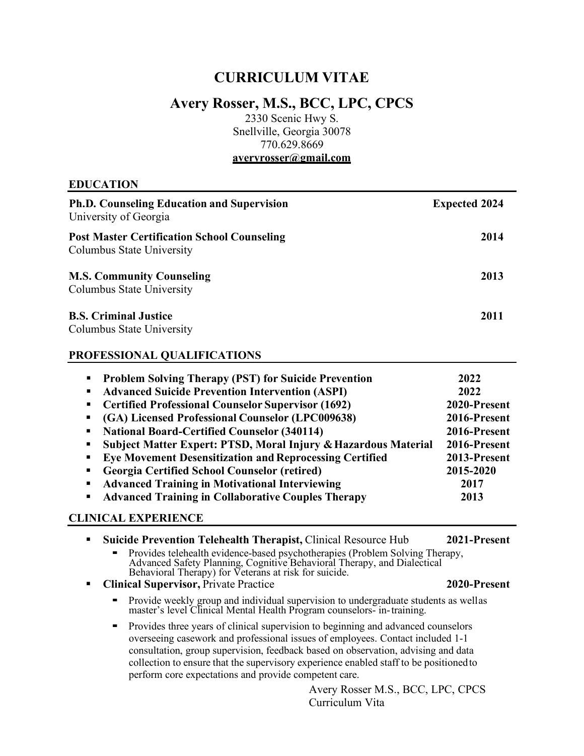# **CURRICULUM VITAE**

# **Avery Rosser, M.S., BCC, LPC, CPCS**

2330 Scenic Hwy S. Snellville, Georgia 30078 770.629.8669 **[averyrosser@gmail.com](mailto:averyrosser@gmail.com)**

## **EDUCATION**

| <b>Ph.D. Counseling Education and Supervision</b><br>University of Georgia      | <b>Expected 2024</b> |
|---------------------------------------------------------------------------------|----------------------|
| <b>Post Master Certification School Counseling</b><br>Columbus State University | 2014                 |
| <b>M.S. Community Counseling</b><br>Columbus State University                   | 2013                 |
| <b>B.S. Criminal Justice</b><br>Columbus State University                       | 2011                 |

## <span id="page-0-0"></span>**PROFESSIONAL QUALIFICATIONS**

| <b>Problem Solving Therapy (PST) for Suicide Prevention</b><br>2022<br>$\blacksquare$ |  |
|---------------------------------------------------------------------------------------|--|
| <b>Advanced Suicide Prevention Intervention (ASPI)</b><br>2022<br>$\blacksquare$      |  |
| <b>Certified Professional Counselor Supervisor (1692)</b><br>2020-Present<br>ш        |  |
| (GA) Licensed Professional Counselor (LPC009638)<br>2016-Present                      |  |
| <b>National Board-Certified Counselor (340114)</b><br>2016-Present<br>п,              |  |
| Subject Matter Expert: PTSD, Moral Injury & Hazardous Material<br>2016-Present<br>п,  |  |
| <b>Eye Movement Desensitization and Reprocessing Certified</b><br>2013-Present        |  |
| <b>Georgia Certified School Counselor (retired)</b><br>2015-2020<br>п                 |  |
| <b>Advanced Training in Motivational Interviewing</b><br>2017                         |  |
| <b>Advanced Training in Collaborative Couples Therapy</b><br>2013                     |  |

# **CLINICAL EXPERIENCE**

 **Suicide Prevention Telehealth Therapist,** Clinical Resource Hub **2021-Present** ■ Provides telehealth evidence-based psychotherapies (Problem Solving Therapy, Advanced Safety Planning, Cognitive Behavioral Therapy, and Dialectical Behavioral Therapy) for Veterans at risk for suicide. **Clinical Supervisor,** Private Practice **2020-Present •** Provide weekly group and individual supervision to undergraduate students as wellas master's level Clinical Mental Health Program counselors- in-training. ▪ Provides three years of clinical supervision to beginning and advanced counselors overseeing casework and professional issues of employees. Contact included 1-1 consultation, group supervision, feedback based on observation, advising and data collection to ensure that the supervisory experience enabled staff to be positionedto perform core expectations and provide competent care.

> Avery Rosser M.S., BCC, LPC, CPCS Curriculum Vita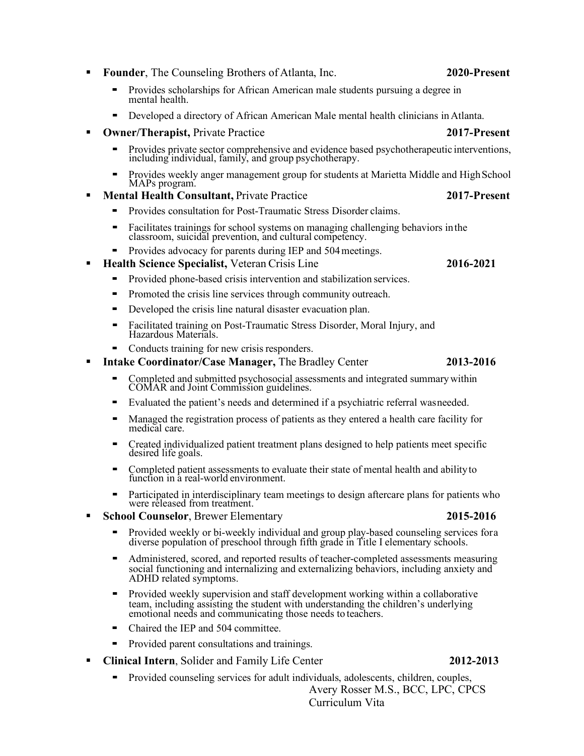Avery Rosser M.S., BCC, LPC, CPCS ▪ Provided counseling services for adult individuals, adolescents, children, couples,

**Clinical Intern**, Solider and Family Life Center **2012-2013**

Curriculum Vita

- **Founder**, The Counseling Brothers of Atlanta, Inc. **2020-Present**
	- Provides scholarships for African American male students pursuing a degree in mental health.
	- Developed a directory of African American Male mental health clinicians in Atlanta.
	- **Owner/Therapist,** Private Practice **2017-Present**
		- Provides private sector comprehensive and evidence based psychotherapeutic interventions, including individual, family, and group psychotherapy.
		- Provides weekly anger management group for students at Marietta Middle and HighSchool MAPs program.
	- **Mental Health Consultant,** Private Practice **2017-Present**
		- Provides consultation for Post-Traumatic Stress Disorder claims.
		- Facilitates trainings for school systems on managing challenging behaviors inthe classroom, suicidal prevention, and cultural competency.
	- Provides advocacy for parents during IEP and 504 meetings.
	- **Health Science Specialist,** Veteran Crisis Line **2016-2021**
		- Provided phone-based crisis intervention and stabilization services.
		- Promoted the crisis line services through community outreach.
		- **•** Developed the crisis line natural disaster evacuation plan.
		- Facilitated training on Post-Traumatic Stress Disorder, Moral Injury, and Hazardous Materials.
		- Conducts training for new crisis responders.
	- **Intake Coordinator/Case Manager, The Bradley Center 2013-2016** 
		- Completed and submitted psychosocial assessments and integrated summarywithin COMAR and Joint Commission guidelines.
		-
		- desired life goals.
		- Completed patient assessments to evaluate their state of mental health and ability to function in a real-world environment.
		- Participated in interdisciplinary team meetings to design aftercare plans for patients who were released from treatment.
	- - Provided weekly or bi-weekly individual and group play-based counseling services fora diverse population of preschool through fifth grade in Title I elementary schools.
		- Administered, scored, and reported results of teacher-completed assessments measuring social functioning and internalizing and externalizing behaviors, including anxiety and ADHD related symptoms.
		- Provided weekly supervision and staff development working within a collaborative team, including assisting the student with understanding the children's underlying emotional needs and communicating those needs to teachers.
		- Chaired the IEP and 504 committee.
		- Provided parent consultations and trainings.
- 
- Evaluated the patient's needs and determined if a psychiatric referral wasneeded.
- Managed the registration process of patients as they entered a health care facility for medical care.
- Created individualized patient treatment plans designed to help patients meet specific
- 
- 

# **School Counselor**, Brewer Elementary **2015-2016**